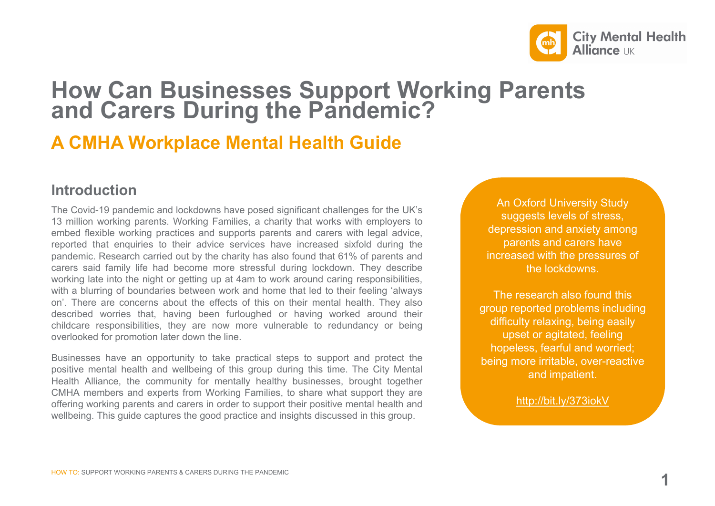

## **How Can Businesses Support Working Parents and Carers During the Pandemic?**

### **A CMHA Workplace Mental Health Guide**

### **Introduction**

The Covid-19 pandemic and lockdowns have posed significant challenges for the UK's 13 million working parents. Working Families, a charity that works with employers to embed flexible working practices and supports parents and carers with legal advice, reported that enquiries to their advice services have increased sixfold during the pandemic. Research carried out by the charity has also found that 61% of parents and carers said family life had become more stressful during lockdown. They describe working late into the night or getting up at 4am to work around caring responsibilities, with a blurring of boundaries between work and home that led to their feeling 'always on'. There are concerns about the effects of this on their mental health. They also described worries that, having been furloughed or having worked around their childcare responsibilities, they are now more vulnerable to redundancy or being overlooked for promotion later down the line.

Businesses have an opportunity to take practical steps to support and protect the positive mental health and wellbeing of this group during this time. The City Mental Health Alliance, the community for mentally healthy businesses, brought together CMHA members and experts from Working Families, to share what support they are offering working parents and carers in order to support their positive mental health and wellbeing. This guide captures the good practice and insights discussed in this group.

An Oxford University Study suggests levels of stress, depression and anxiety among parents and carers have increased with the pressures of the lockdowns.

The research also found this group reported problems including difficulty relaxing, being easily upset or agitated, feeling hopeless, fearful and worried; being more irritable, over-reactive and impatient.

http://bit.ly/373iokV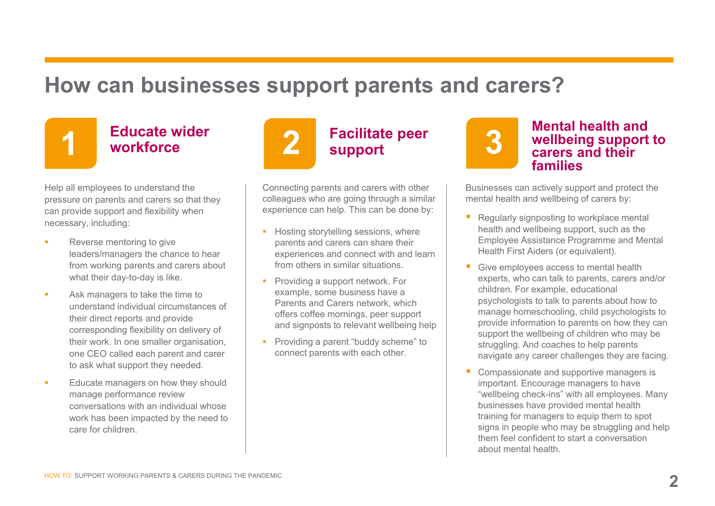# **How can businesses support parents and carers?**



# **Educate wider 1 workforce**

Help all employees to understand the pressure on parents and carers so that they can provide support and flexibility when necessary, including:

- Reverse mentoring to give leaders/managers the chance to hear from working parents and carers about what their day-to-day is like.
- Ask managers to take the time to understand individual circumstances of their direct reports and provide corresponding flexibility on delivery of their work. In one smaller organisation, one CEO called each parent and carer to ask what support they needed.
- Educate managers on how they should manage performance review conversations with an individual whose work has been impacted by the need to care for children.



### **Facilitate peer support**

Connecting parents and carers with other colleagues who are going through a similar experience can help. This can be done by:

- **Hosting storytelling sessions, where** parents and carers can share their experiences and connect with and learn from others in similar situations.
- Providing a support network. For example, some business have a Parents and Carers network, which offers coffee mornings, peer support and signposts to relevant wellbeing help
- **Providing a parent "buddy scheme" to** connect parents with each other.



### **Mental health and wellbeing support to carers and their families**

Businesses can actively support and protect the mental health and wellbeing of carers by:

- Regularly signposting to workplace mental health and wellbeing support, such as the Employee Assistance Programme and Mental Health First Aiders (or equivalent).
- Give employees access to mental health experts, who can talk to parents, carers and/or children. For example, educational psychologists to talk to parents about how to manage homeschooling, child psychologists to provide information to parents on how they can support the wellbeing of children who may be struggling. And coaches to help parents navigate any career challenges they are facing.
- Compassionate and supportive managers is important. Encourage managers to have "wellbeing check-ins" with all employees. Many businesses have provided mental health training for managers to equip them to spot signs in people who may be struggling and help them feel confident to start a conversation about mental health.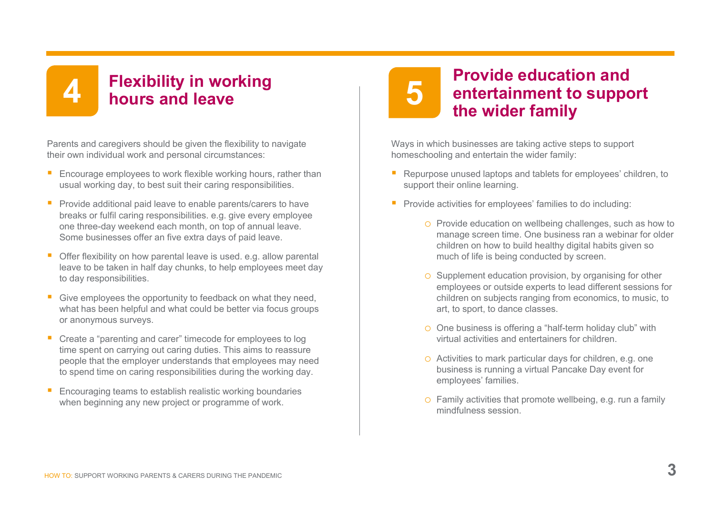# **Flexibility in working 4 hours and leave**

Parents and caregivers should be given the flexibility to navigate their own individual work and personal circumstances:

- **Encourage employees to work flexible working hours, rather than** usual working day, to best suit their caring responsibilities.
- **Provide additional paid leave to enable parents/carers to have** breaks or fulfil caring responsibilities. e.g. give every employee one three-day weekend each month, on top of annual leave. Some businesses offer an five extra days of paid leave.
- **Offer flexibility on how parental leave is used. e.g. allow parental** leave to be taken in half day chunks, to help employees meet day to day responsibilities.
- Give employees the opportunity to feedback on what they need. what has been helpful and what could be better via focus groups or anonymous surveys.
- Create a "parenting and carer" timecode for employees to log time spent on carrying out caring duties. This aims to reassure people that the employer understands that employees may need to spend time on caring responsibilities during the working day.
- **Encouraging teams to establish realistic working boundaries** when beginning any new project or programme of work.

# **5**

### **Provide education and entertainment to support the wider family**

Ways in which businesses are taking active steps to support homeschooling and entertain the wider family:

- Repurpose unused laptops and tablets for employees' children, to support their online learning.
- **Provide activities for employees' families to do including:** 
	- o Provide education on wellbeing challenges, such as how to manage screen time. One business ran a webinar for older children on how to build healthy digital habits given so much of life is being conducted by screen.
	- o Supplement education provision, by organising for other employees or outside experts to lead different sessions for children on subjects ranging from economics, to music, to art, to sport, to dance classes.
	- o One business is offering a "half-term holiday club" with virtual activities and entertainers for children.
	- o Activities to mark particular days for children, e.g. one business is running a virtual Pancake Day event for employees' families.
	- o Family activities that promote wellbeing, e.g. run a family mindfulness session.